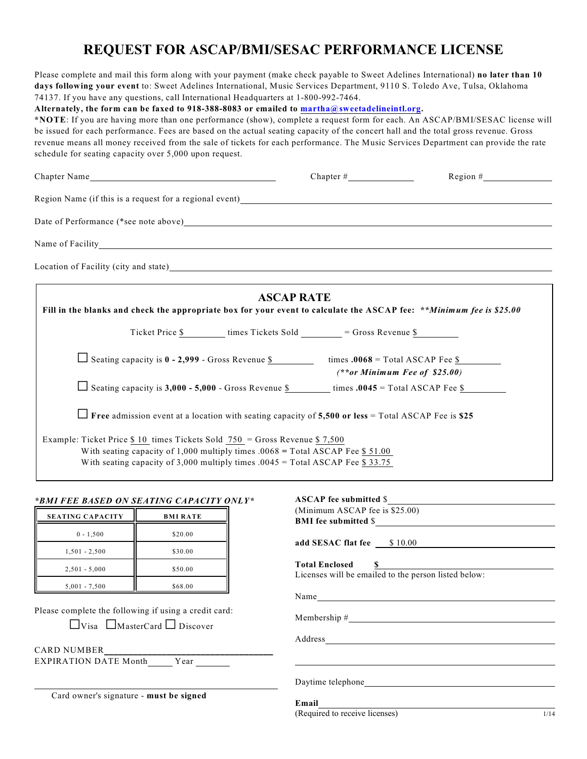# **REQUEST FOR ASCAP/BMI/SESAC PERFORMANCE LICENSE**

Please complete and mail this form along with your payment (make check payable to Sweet Adelines International) **no later than 10 days following your event** to: Sweet Adelines International, Music Services Department, 9110 S. Toledo Ave, Tulsa, Oklahoma 74137. If you have any questions, call International Headquarters at 1-800-992-7464.

**Alternately, the form can be faxed to 918-388-8083 or emailed to martha@sweetadelineintl.org.**

**\*NOTE**: If you are having more than one performance (show), complete a request form for each. An ASCAP/BMI/SESAC license will be issued for each performance. Fees are based on the actual seating capacity of the concert hall and the total gross revenue. Gross revenue means all money received from the sale of tickets for each performance. The Music Services Department can provide the rate schedule for seating capacity over 5,000 upon request.

| Chapter Name                                                                                                                                                                                                                                         |                   | $Region # \_$                   |
|------------------------------------------------------------------------------------------------------------------------------------------------------------------------------------------------------------------------------------------------------|-------------------|---------------------------------|
|                                                                                                                                                                                                                                                      |                   |                                 |
| Date of Performance (*see note above) Manual Accords and the set of Performance (*see note above)                                                                                                                                                    |                   |                                 |
|                                                                                                                                                                                                                                                      |                   |                                 |
| Location of Facility (city and state) Manual Manual According to the Second Second Second Second Second Second Second Second Second Second Second Second Second Second Second Second Second Second Second Second Second Second                       |                   |                                 |
| Fill in the blanks and check the appropriate box for your event to calculate the ASCAP fee: **Minimum fee is \$25.00                                                                                                                                 | <b>ASCAP RATE</b> |                                 |
| Ticket Price \$ times Tickets Sold _______ = Gross Revenue \$                                                                                                                                                                                        |                   |                                 |
| Seating capacity is $0 - 2,999 -$ Gross Revenue \$ times $.0068 =$ Total ASCAP Fee \$                                                                                                                                                                |                   | $(**or Minimum Free of $25.00)$ |
| $\Box$ Seating capacity is 3,000 - 5,000 - Gross Revenue $\frac{1}{2}$ times .0045 = Total ASCAP Fee $\frac{1}{2}$                                                                                                                                   |                   |                                 |
| Free admission event at a location with seating capacity of 5,500 or less = Total ASCAP Fee is \$25                                                                                                                                                  |                   |                                 |
| Example: Ticket Price $$10$ times Tickets Sold $750$ = Gross Revenue $$7,500$<br>With seating capacity of 1,000 multiply times .0068 = Total ASCAP Fee $$ 51.00$<br>With seating capacity of 3,000 multiply times $.0045 =$ Total ASCAP Fee \$ 33.75 |                   |                                 |

#### *\*BMI FEE BASED ON SEATING CAPACITY ONLY\**

| <b>SEATING CAPACITY</b> | <b>BMI RATE</b> |
|-------------------------|-----------------|
| $0 - 1,500$             | \$20.00         |
| $1,501 - 2,500$         | \$30.00         |
| $2,501 - 5,000$         | \$50.00         |
| $5,001 - 7,500$         | \$68.00         |

Please complete the following if using a credit card:

|  | $\Box$ Visa $\Box$ MasterCard $\Box$ Discover |  |
|--|-----------------------------------------------|--|
|--|-----------------------------------------------|--|

CARD NUMBER\_\_\_\_\_\_\_\_\_\_\_\_\_\_\_\_\_\_\_\_\_\_\_\_\_\_\_\_\_\_\_\_\_\_\_ EXPIRATION DATE Month Year

Card owner's signature - **must be signed**

| ASCAP fee submitted \$                                                          |  |
|---------------------------------------------------------------------------------|--|
| (Minimum ASCAP fee is \$25.00)                                                  |  |
| BMI fee submitted \$                                                            |  |
|                                                                                 |  |
|                                                                                 |  |
| <b>Total Enclosed §</b><br>Licenses will be emailed to the person listed below: |  |
|                                                                                 |  |
|                                                                                 |  |
|                                                                                 |  |
|                                                                                 |  |
|                                                                                 |  |

֦

(Required to receive licenses) 1/14